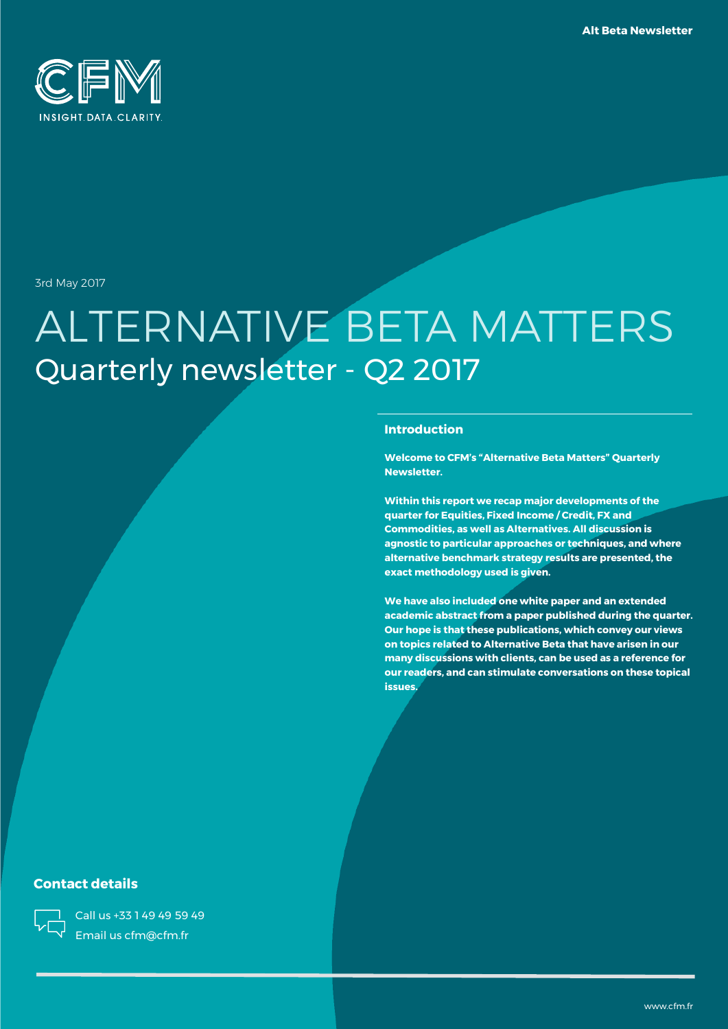

3rd May 2017

# ALTERNATIVE BETA MATTERS Quarterly newsletter - Q2 2017

### **Introduction**

**Welcome to CFM's "Alternative Beta Matters" Quarterly Newsletter.**

**Within this report we recap major developments of the quarter for Equities, Fixed Income / Credit, FX and Commodities, as well as Alternatives. All discussion is agnostic to particular approaches or techniques, and where alternative benchmark strategy results are presented, the exact methodology used is given.**

**We have also included one white paper and an extended academic abstract from a paper published during the quarter. Our hope is that these publications, which convey our views on topics related to Alternative Beta that have arisen in our many discussions with clients, can be used as a reference for our readers, and can stimulate conversations on these topical issues.**

### **Contact details**

Call us +33 1 49 49 59 49 Email us cfm@cfm.fr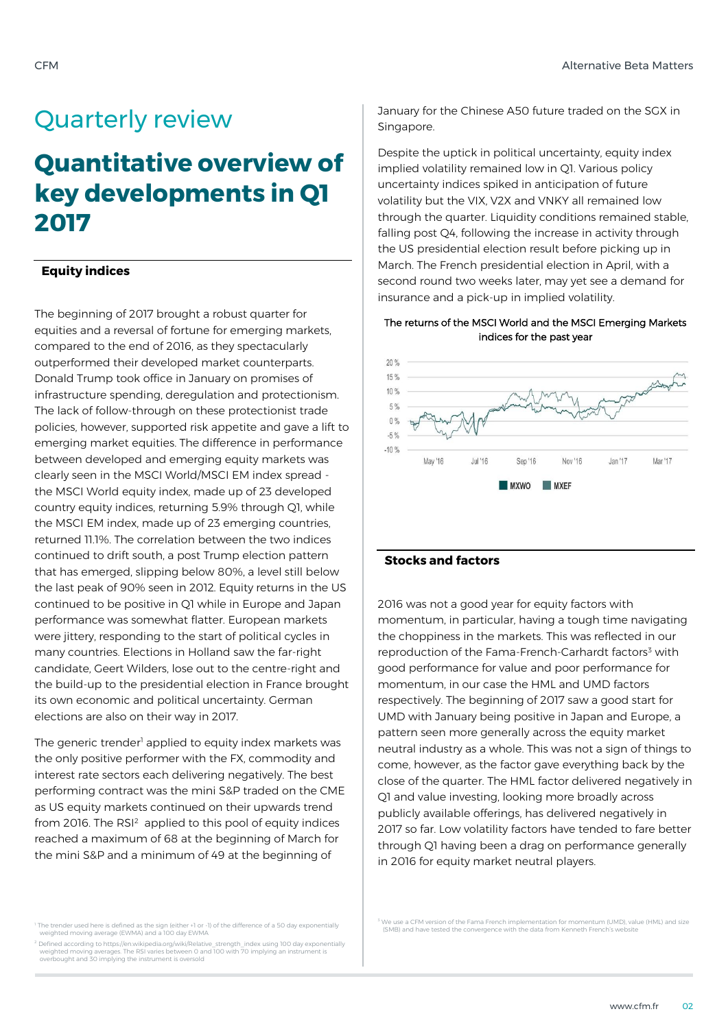### Quarterly review

# **Quantitative overview of key developments in Q1 2017**

### **Equity indices**

The beginning of 2017 brought a robust quarter for equities and a reversal of fortune for emerging markets, compared to the end of 2016, as they spectacularly outperformed their developed market counterparts. Donald Trump took office in January on promises of infrastructure spending, deregulation and protectionism. The lack of follow-through on these protectionist trade policies, however, supported risk appetite and gave a lift to emerging market equities. The difference in performance between developed and emerging equity markets was clearly seen in the MSCI World/MSCI EM index spread the MSCI World equity index, made up of 23 developed country equity indices, returning 5.9% through Q1, while the MSCI EM index, made up of 23 emerging countries, returned 11.1%. The correlation between the two indices continued to drift south, a post Trump election pattern that has emerged, slipping below 80%, a level still below the last peak of 90% seen in 2012. Equity returns in the US continued to be positive in Q1 while in Europe and Japan performance was somewhat flatter. European markets were jittery, responding to the start of political cycles in many countries. Elections in Holland saw the far-right candidate, Geert Wilders, lose out to the centre-right and the build-up to the presidential election in France brought its own economic and political uncertainty. German elections are also on their way in 2017.

The generic trender<sup>1</sup> applied to equity index markets was the only positive performer with the FX, commodity and interest rate sectors each delivering negatively. The best performing contract was the mini S&P traded on the CME as US equity markets continued on their upwards trend from 2016. The RSI<sup>2</sup> applied to this pool of equity indices reached a maximum of 68 at the beginning of March for the mini S&P and a minimum of 49 at the beginning of

January for the Chinese A50 future traded on the SGX in Singapore.

Despite the uptick in political uncertainty, equity index implied volatility remained low in Q1. Various policy uncertainty indices spiked in anticipation of future volatility but the VIX, V2X and VNKY all remained low through the quarter. Liquidity conditions remained stable, falling post Q4, following the increase in activity through the US presidential election result before picking up in March. The French presidential election in April, with a second round two weeks later, may yet see a demand for insurance and a pick-up in implied volatility.

### The returns of the MSCI World and the MSCI Emerging Markets indices for the past year



### **Stocks and factors**

2016 was not a good year for equity factors with momentum, in particular, having a tough time navigating the choppiness in the markets. This was reflected in our reproduction of the Fama-French-Carhardt factors<sup>3</sup> with good performance for value and poor performance for momentum, in our case the HML and UMD factors respectively. The beginning of 2017 saw a good start for UMD with January being positive in Japan and Europe, a pattern seen more generally across the equity market neutral industry as a whole. This was not a sign of things to come, however, as the factor gave everything back by the close of the quarter. The HML factor delivered negatively in Q1 and value investing, looking more broadly across publicly available offerings, has delivered negatively in 2017 so far. Low volatility factors have tended to fare better through Q1 having been a drag on performance generally in 2016 for equity market neutral players.

<sup>2</sup> Defined according to https://en.wikipedia.org/wiki/Relative\_strength\_index using 100 day exponentially<br>weighted moving averages. The RSI varies between 0 and 100 with 70 implying an instrument is<br>overbought and 30 impl

<sup>3</sup> We use a CFM version of the Fama French implementation for momentum (UMD), value (HML) and size (SMB) and have tested the convergence with the data from Kenneth French's website

<sup>1</sup> The trender used here is defined as the sign (either +1 or -1) of the difference of a 50 day exponentially weighted moving average (EWMA) and a 100 day EWMA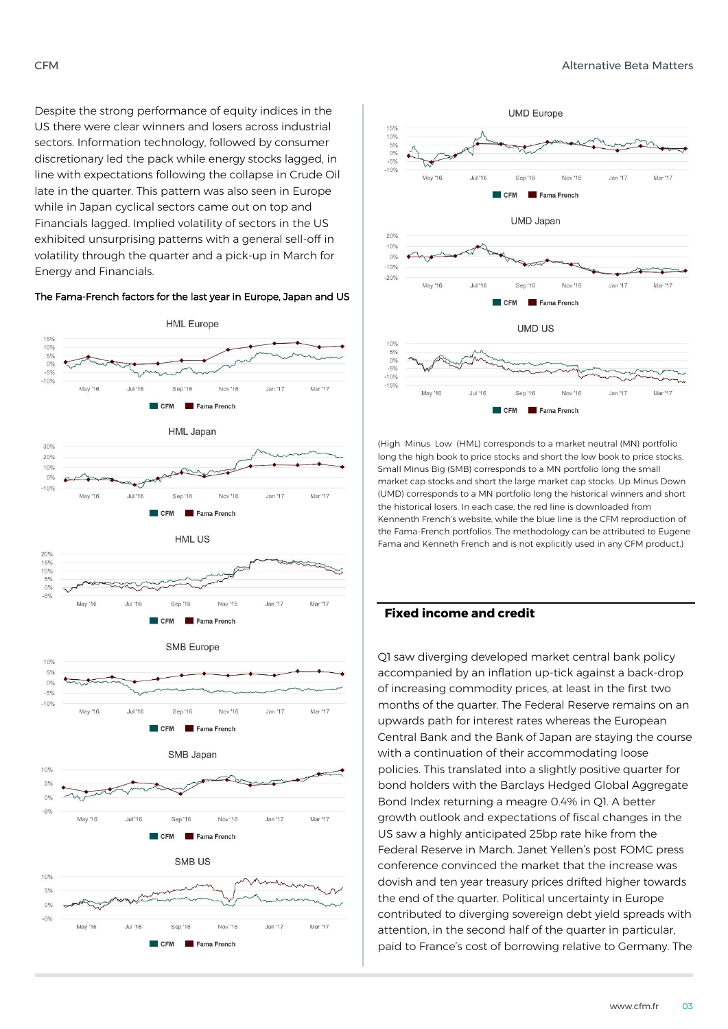Despite the strong performance of equity indices in the US there were clear winners and losers across industrial sectors. Information technology, followed by consumer discretionary led the pack while energy stocks lagged, in line with expectations following the collapse in Crude Oil late in the quarter. This pattern was also seen in Europe while in Japan cyclical sectors came out on top and Financials lagged. Implied volatility of sectors in the US exhibited unsurprising patterns with a general sell-off in volatility through the quarter and a pick-up in March for Energy and Financials.

#### The Fama-French factors for the last year in Europe, Japan and US





(High Minus Low (HML) corresponds to a market neutral (MN) portfolio long the high book to price stocks and short the low book to price stocks. Small Minus Big (SMB) corresponds to a MN portfolio long the small market cap stocks and short the large market cap stocks. Up Minus Down (UMD) corresponds to a MN portfolio long the historical winners and short the historical losers. In each case, the red line is downloaded from Kennenth French's website, while the blue line is the CFM reproduction of the Fama-French portfolios. The methodology can be attributed to Eugene Fama and Kenneth French and is not explicitly used in any CFM product.)

### **Fixed income and credit**

Q1 saw diverging developed market central bank policy accompanied by an inflation up-tick against a back-drop of increasing commodity prices, at least in the first two months of the quarter. The Federal Reserve remains on an upwards path for interest rates whereas the European Central Bank and the Bank of Japan are staying the course with a continuation of their accommodating loose policies. This translated into a slightly positive quarter for bond holders with the Barclays Hedged Global Aggregate Bond Index returning a meagre 0.4% in Q1. A better growth outlook and expectations of fiscal changes in the US saw a highly anticipated 25bp rate hike from the Federal Reserve in March. Janet Yellen's post FOMC press conference convinced the market that the increase was dovish and ten year treasury prices drifted higher towards the end of the quarter. Political uncertainty in Europe contributed to diverging sovereign debt yield spreads with attention, in the second half of the quarter in particular, paid to France's cost of borrowing relative to Germany. The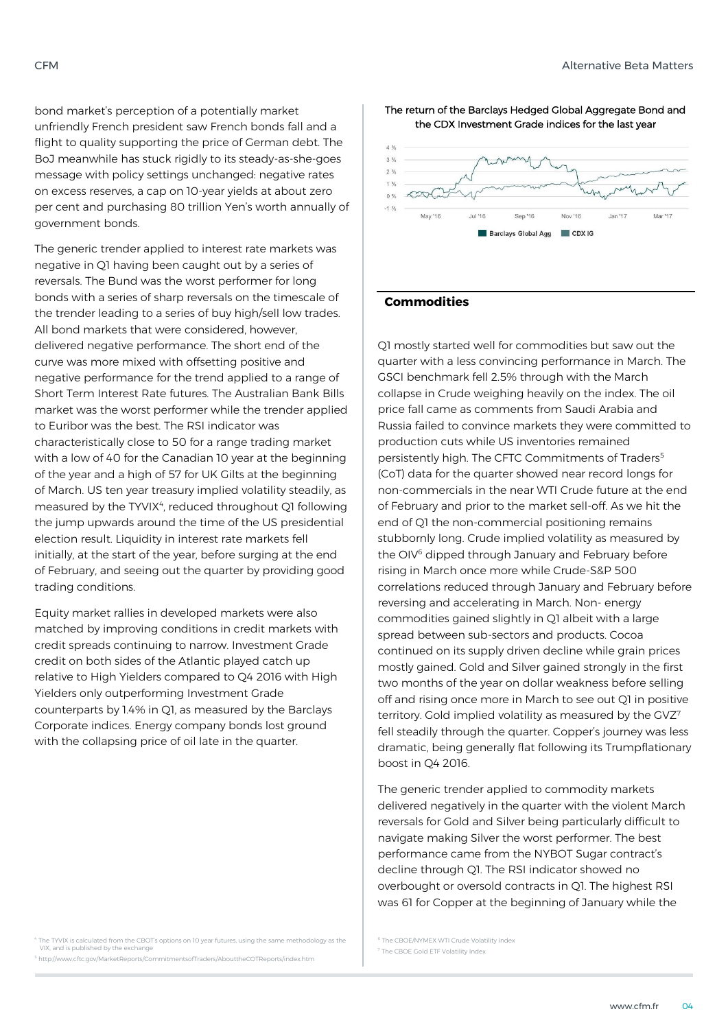bond market's perception of a potentially market unfriendly French president saw French bonds fall and a flight to quality supporting the price of German debt. The BoJ meanwhile has stuck rigidly to its steady-as-she-goes message with policy settings unchanged: negative rates on excess reserves, a cap on 10-year yields at about zero per cent and purchasing 80 trillion Yen's worth annually of government bonds.

The generic trender applied to interest rate markets was negative in Q1 having been caught out by a series of reversals. The Bund was the worst performer for long bonds with a series of sharp reversals on the timescale of the trender leading to a series of buy high/sell low trades. All bond markets that were considered, however, delivered negative performance. The short end of the curve was more mixed with offsetting positive and negative performance for the trend applied to a range of Short Term Interest Rate futures. The Australian Bank Bills market was the worst performer while the trender applied to Euribor was the best. The RSI indicator was characteristically close to 50 for a range trading market with a low of 40 for the Canadian 10 year at the beginning of the year and a high of 57 for UK Gilts at the beginning of March. US ten year treasury implied volatility steadily, as measured by the TYVIX<sup>4</sup>, reduced throughout Q1 following the jump upwards around the time of the US presidential election result. Liquidity in interest rate markets fell initially, at the start of the year, before surging at the end of February, and seeing out the quarter by providing good trading conditions.

Equity market rallies in developed markets were also matched by improving conditions in credit markets with credit spreads continuing to narrow. Investment Grade credit on both sides of the Atlantic played catch up relative to High Yielders compared to Q4 2016 with High Yielders only outperforming Investment Grade counterparts by 1.4% in Q1, as measured by the Barclays Corporate indices. Energy company bonds lost ground with the collapsing price of oil late in the quarter.

The TYVIX is calculated from the CBOT's options on 10 year futures, using the same methodology as the VIX, and is published by the exchange <sup>5</sup> http://www.cftc.gov/MarketReports/CommitmentsofTraders/AbouttheCOTReports/index.htm

The return of the Barclays Hedged Global Aggregate Bond and the CDX Investment Grade indices for the last year



#### **Commodities**

Q1 mostly started well for commodities but saw out the quarter with a less convincing performance in March. The GSCI benchmark fell 2.5% through with the March collapse in Crude weighing heavily on the index. The oil price fall came as comments from Saudi Arabia and Russia failed to convince markets they were committed to production cuts while US inventories remained persistently high. The CFTC Commitments of Traders<sup>5</sup> (CoT) data for the quarter showed near record longs for non-commercials in the near WTI Crude future at the end of February and prior to the market sell-off. As we hit the end of Q1 the non-commercial positioning remains stubbornly long. Crude implied volatility as measured by the OIV<sup>6</sup> dipped through January and February before rising in March once more while Crude-S&P 500 correlations reduced through January and February before reversing and accelerating in March. Non- energy commodities gained slightly in Q1 albeit with a large spread between sub-sectors and products. Cocoa continued on its supply driven decline while grain prices mostly gained. Gold and Silver gained strongly in the first two months of the year on dollar weakness before selling off and rising once more in March to see out Q1 in positive territory. Gold implied volatility as measured by the GVZ7 fell steadily through the quarter. Copper's journey was less dramatic, being generally flat following its Trumpflationary boost in Q4 2016.

The generic trender applied to commodity markets delivered negatively in the quarter with the violent March reversals for Gold and Silver being particularly difficult to navigate making Silver the worst performer. The best performance came from the NYBOT Sugar contract's decline through Q1. The RSI indicator showed no overbought or oversold contracts in Q1. The highest RSI was 61 for Copper at the beginning of January while the

<sup>5</sup> The CBOE/NYMEX WTI Crude Volatility Index <sup>7</sup> The CBOE Gold FTF Volatility Index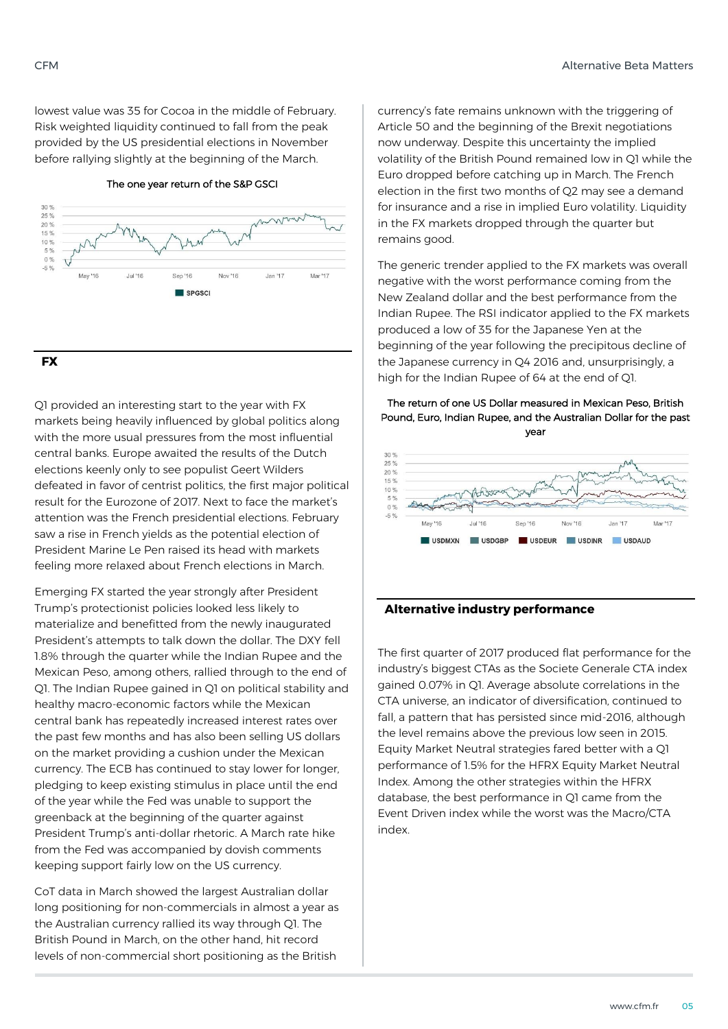lowest value was 35 for Cocoa in the middle of February. Risk weighted liquidity continued to fall from the peak provided by the US presidential elections in November before rallying slightly at the beginning of the March.







Q1 provided an interesting start to the year with FX markets being heavily influenced by global politics along with the more usual pressures from the most influential central banks. Europe awaited the results of the Dutch elections keenly only to see populist Geert Wilders defeated in favor of centrist politics, the first major political result for the Eurozone of 2017. Next to face the market's attention was the French presidential elections. February saw a rise in French yields as the potential election of President Marine Le Pen raised its head with markets feeling more relaxed about French elections in March.

Emerging FX started the year strongly after President Trump's protectionist policies looked less likely to materialize and benefitted from the newly inaugurated President's attempts to talk down the dollar. The DXY fell 1.8% through the quarter while the Indian Rupee and the Mexican Peso, among others, rallied through to the end of Q1. The Indian Rupee gained in Q1 on political stability and healthy macro-economic factors while the Mexican central bank has repeatedly increased interest rates over the past few months and has also been selling US dollars on the market providing a cushion under the Mexican currency. The ECB has continued to stay lower for longer, pledging to keep existing stimulus in place until the end of the year while the Fed was unable to support the greenback at the beginning of the quarter against President Trump's anti-dollar rhetoric. A March rate hike from the Fed was accompanied by dovish comments keeping support fairly low on the US currency.

CoT data in March showed the largest Australian dollar long positioning for non-commercials in almost a year as the Australian currency rallied its way through Q1. The British Pound in March, on the other hand, hit record levels of non-commercial short positioning as the British

currency's fate remains unknown with the triggering of Article 50 and the beginning of the Brexit negotiations now underway. Despite this uncertainty the implied volatility of the British Pound remained low in Q1 while the Euro dropped before catching up in March. The French election in the first two months of Q2 may see a demand for insurance and a rise in implied Euro volatility. Liquidity in the FX markets dropped through the quarter but remains good.

The generic trender applied to the FX markets was overall negative with the worst performance coming from the New Zealand dollar and the best performance from the Indian Rupee. The RSI indicator applied to the FX markets produced a low of 35 for the Japanese Yen at the beginning of the year following the precipitous decline of the Japanese currency in Q4 2016 and, unsurprisingly, a high for the Indian Rupee of 64 at the end of Q1.

The return of one US Dollar measured in Mexican Peso, British Pound, Euro, Indian Rupee, and the Australian Dollar for the past year



### **Alternative industry performance**

The first quarter of 2017 produced flat performance for the industry's biggest CTAs as the Societe Generale CTA index gained 0.07% in Q1. Average absolute correlations in the CTA universe, an indicator of diversification, continued to fall, a pattern that has persisted since mid-2016, although the level remains above the previous low seen in 2015. Equity Market Neutral strategies fared better with a Q1 performance of 1.5% for the HFRX Equity Market Neutral Index. Among the other strategies within the HFRX database, the best performance in Q1 came from the Event Driven index while the worst was the Macro/CTA index.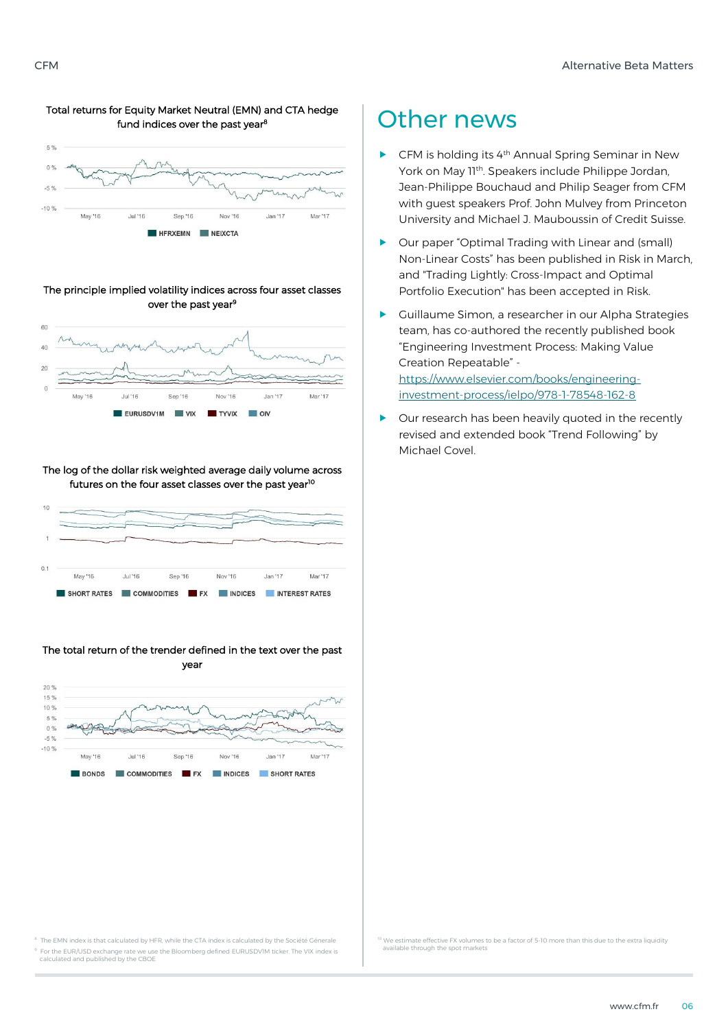### Total returns for Equity Market Neutral (EMN) and CTA hedge fund indices over the past year<sup>8</sup>  $5.9$



### The principle implied volatility indices across four asset classes over the past year<sup>9</sup>



The log of the dollar risk weighted average daily volume across futures on the four asset classes over the past year<sup>10</sup>



### The total return of the trender defined in the text over the past year



### Other news

- CFM is holding its 4th Annual Spring Seminar in New York on May 11<sup>th</sup>. Speakers include Philippe Jordan, Jean-Philippe Bouchaud and Philip Seager from CFM with guest speakers Prof. John Mulvey from Princeton University and Michael J. Mauboussin of Credit Suisse.
- Our paper "Optimal Trading with Linear and (small) Non-Linear Costs" has been published in Risk in March, and "Trading Lightly: Cross-Impact and Optimal Portfolio Execution" has been accepted in Risk.
- Guillaume Simon, a researcher in our Alpha Strategies team, has co-authored the recently published book "Engineering Investment Process: Making Value Creation Repeatable" [https://www.elsevier.com/books/engineering](https://www.elsevier.com/books/engineering-investment-process/ielpo/978-1-78548-162-8)[investment-process/ielpo/978-1-78548-162-8](https://www.elsevier.com/books/engineering-investment-process/ielpo/978-1-78548-162-8)
- Our research has been heavily quoted in the recently revised and extended book "Trend Following" by Michael Covel.

The EMN index is that calculated by HFR, while the CTA index is calculated by the Société Génerale <sup>9</sup> For the EUR/USD exchange rate we use the Bloomberg defined EURUSDV1M ticker. The VIX index is calculated and published by the CBOE

We estimate effective FX volumes to be a factor of 5-10 more than this due to the extra liquidity available through the spot markets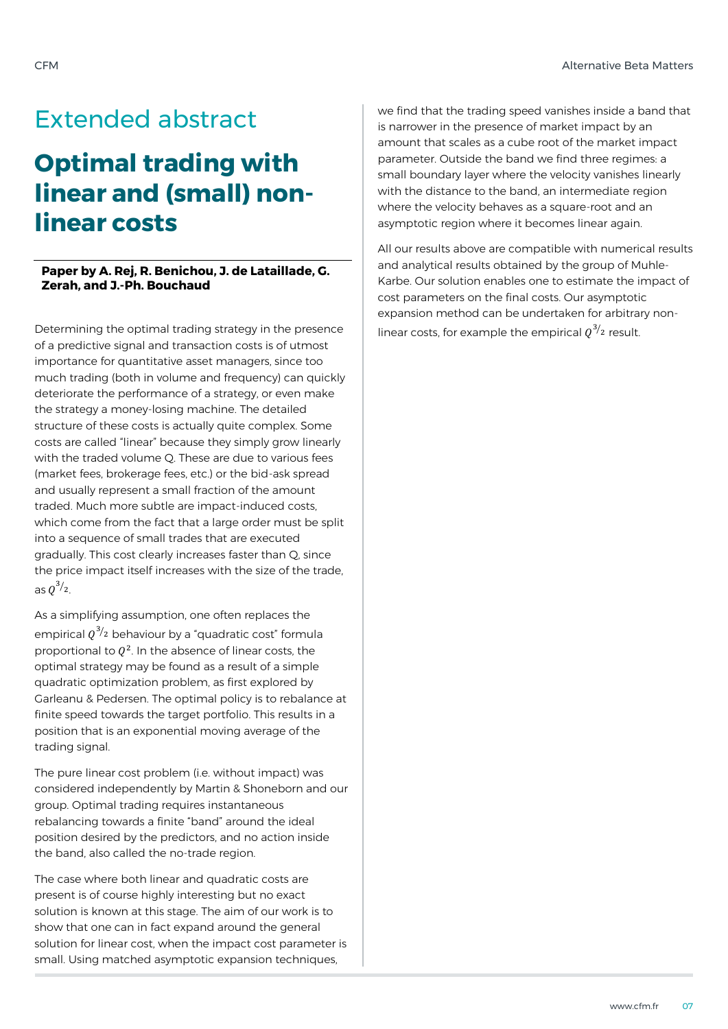## Extended abstract

# **Optimal trading with linear and (small) nonlinear costs**

### **Paper by A. Rej, R. Benichou, J. de Lataillade, G. Zerah, and J.-Ph. Bouchaud**

Determining the optimal trading strategy in the presence of a predictive signal and transaction costs is of utmost importance for quantitative asset managers, since too much trading (both in volume and frequency) can quickly deteriorate the performance of a strategy, or even make the strategy a money-losing machine. The detailed structure of these costs is actually quite complex. Some costs are called "linear" because they simply grow linearly with the traded volume Q. These are due to various fees (market fees, brokerage fees, etc.) or the bid-ask spread and usually represent a small fraction of the amount traded. Much more subtle are impact-induced costs, which come from the fact that a large order must be split into a sequence of small trades that are executed gradually. This cost clearly increases faster than Q, since the price impact itself increases with the size of the trade, as  $Q^{3/2}$ .

As a simplifying assumption, one often replaces the empirical  $\varrho^{3/2}$  behaviour by a "quadratic cost" formula proportional to  $Q^2$ . In the absence of linear costs, the optimal strategy may be found as a result of a simple quadratic optimization problem, as first explored by Garleanu & Pedersen. The optimal policy is to rebalance at finite speed towards the target portfolio. This results in a position that is an exponential moving average of the trading signal.

The pure linear cost problem (i.e. without impact) was considered independently by Martin & Shoneborn and our group. Optimal trading requires instantaneous rebalancing towards a finite "band" around the ideal position desired by the predictors, and no action inside the band, also called the no-trade region.

The case where both linear and quadratic costs are present is of course highly interesting but no exact solution is known at this stage. The aim of our work is to show that one can in fact expand around the general solution for linear cost, when the impact cost parameter is small. Using matched asymptotic expansion techniques,

we find that the trading speed vanishes inside a band that is narrower in the presence of market impact by an amount that scales as a cube root of the market impact parameter. Outside the band we find three regimes: a small boundary layer where the velocity vanishes linearly with the distance to the band, an intermediate region where the velocity behaves as a square-root and an asymptotic region where it becomes linear again.

All our results above are compatible with numerical results and analytical results obtained by the group of Muhle-Karbe. Our solution enables one to estimate the impact of cost parameters on the final costs. Our asymptotic expansion method can be undertaken for arbitrary nonlinear costs, for example the empirical  $\varrho^{3/2}$  result.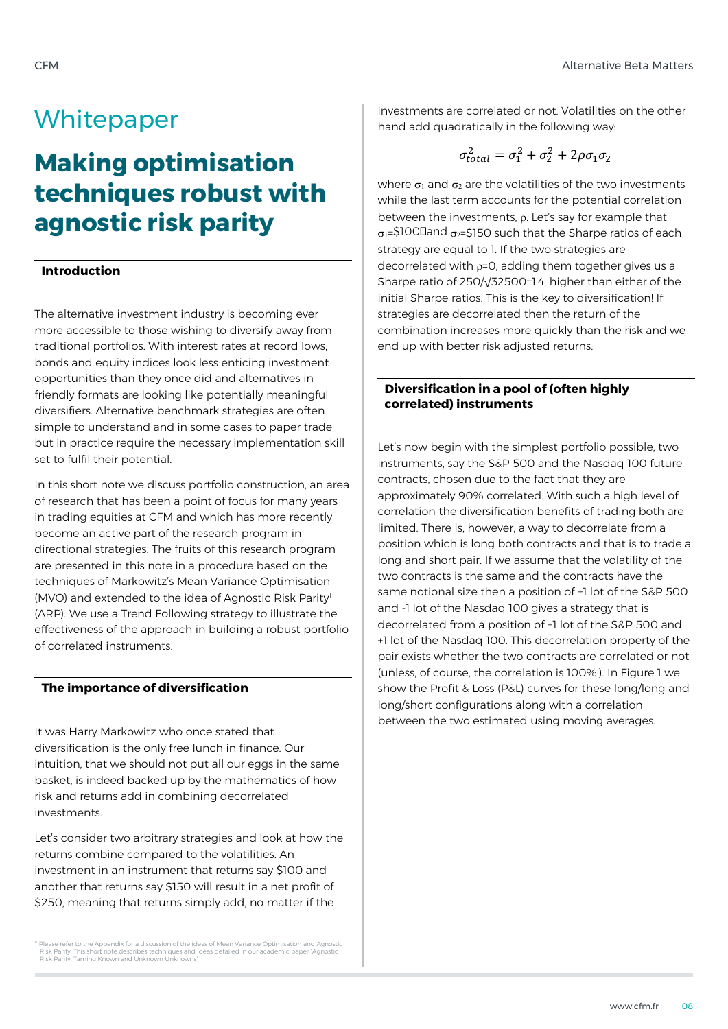### **Whitepaper**

# **Making optimisation techniques robust with agnostic risk parity**

### **Introduction**

The alternative investment industry is becoming ever more accessible to those wishing to diversify away from traditional portfolios. With interest rates at record lows, bonds and equity indices look less enticing investment opportunities than they once did and alternatives in friendly formats are looking like potentially meaningful diversifiers. Alternative benchmark strategies are often simple to understand and in some cases to paper trade but in practice require the necessary implementation skill set to fulfil their potential.

In this short note we discuss portfolio construction, an area of research that has been a point of focus for many years in trading equities at CFM and which has more recently become an active part of the research program in directional strategies. The fruits of this research program are presented in this note in a procedure based on the techniques of Markowitz's Mean Variance Optimisation (MVO) and extended to the idea of Agnostic Risk Parity<sup>11</sup> (ARP). We use a Trend Following strategy to illustrate the effectiveness of the approach in building a robust portfolio of correlated instruments.

### **The importance of diversification**

It was Harry Markowitz who once stated that diversification is the only free lunch in finance. Our intuition, that we should not put all our eggs in the same basket, is indeed backed up by the mathematics of how risk and returns add in combining decorrelated investments.

Let's consider two arbitrary strategies and look at how the returns combine compared to the volatilities. An investment in an instrument that returns say \$100 and another that returns say \$150 will result in a net profit of \$250, meaning that returns simply add, no matter if the

Please refer to the Appendix for a discussion of the ideas of Mean Variance Optimisation and Agnostic Risk Parity. This short note describes techniques and ideas detailed in our academic paper "Agnostic Risk Parity: Taming Known and Unknown Unknowns"

investments are correlated or not. Volatilities on the other hand add quadratically in the following way:

$$
\sigma_{total}^2 = \sigma_1^2 + \sigma_2^2 + 2\rho\sigma_1\sigma_2
$$

where  $\sigma_1$  and  $\sigma_2$  are the volatilities of the two investments while the last term accounts for the potential correlation between the investments,  $\rho$ . Let's say for example that  $\sigma_1$ =\$100 Dand  $\sigma_2$ =\$150 such that the Sharpe ratios of each strategy are equal to 1. If the two strategies are decorrelated with  $p=0$ , adding them together gives us a Sharpe ratio of 250/√32500=1.4, higher than either of the initial Sharpe ratios. This is the key to diversification! If strategies are decorrelated then the return of the combination increases more quickly than the risk and we end up with better risk adjusted returns.

### **Diversification in a pool of (often highly correlated) instruments**

Let's now begin with the simplest portfolio possible, two instruments, say the S&P 500 and the Nasdaq 100 future contracts, chosen due to the fact that they are approximately 90% correlated. With such a high level of correlation the diversification benefits of trading both are limited. There is, however, a way to decorrelate from a position which is long both contracts and that is to trade a long and short pair. If we assume that the volatility of the two contracts is the same and the contracts have the same notional size then a position of +1 lot of the S&P 500 and -1 lot of the Nasdaq 100 gives a strategy that is decorrelated from a position of +1 lot of the S&P 500 and +1 lot of the Nasdaq 100. This decorrelation property of the pair exists whether the two contracts are correlated or not (unless, of course, the correlation is 100%!). In Figure 1 we show the Profit & Loss (P&L) curves for these long/long and long/short configurations along with a correlation between the two estimated using moving averages.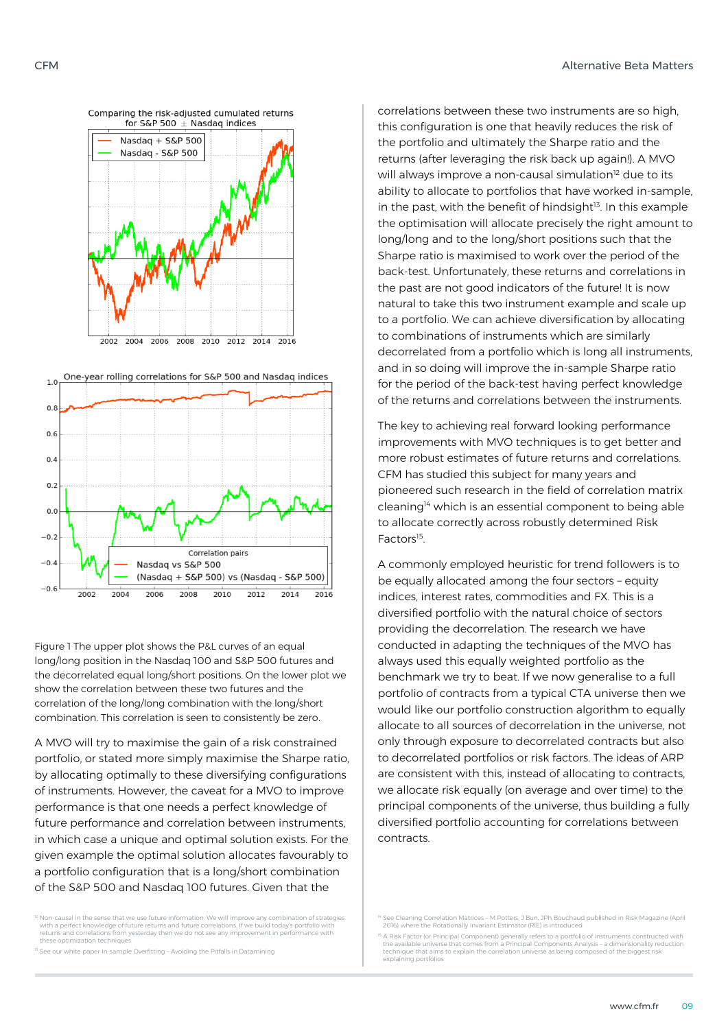



Figure 1 The upper plot shows the P&L curves of an equal long/long position in the Nasdaq 100 and S&P 500 futures and the decorrelated equal long/short positions. On the lower plot we show the correlation between these two futures and the correlation of the long/long combination with the long/short combination. This correlation is seen to consistently be zero.

A MVO will try to maximise the gain of a risk constrained portfolio, or stated more simply maximise the Sharpe ratio, by allocating optimally to these diversifying configurations of instruments. However, the caveat for a MVO to improve performance is that one needs a perfect knowledge of future performance and correlation between instruments, in which case a unique and optimal solution exists. For the given example the optimal solution allocates favourably to a portfolio configuration that is a long/short combination of the S&P 500 and Nasdaq 100 futures. Given that the

<sup>12</sup> Non-causal in the sense that we use future information. We will improve any combination of strategies<br>with a perfect knowledge of future returns and future correlations. If we build today's portfolio with<br>returns and these optimization techniques

 $3$  See our white paper In-sample Overfitting – Avoiding the Pitfalls in Datamining

correlations between these two instruments are so high, this configuration is one that heavily reduces the risk of the portfolio and ultimately the Sharpe ratio and the returns (after leveraging the risk back up again!). A MVO will always improve a non-causal simulation<sup>12</sup> due to its ability to allocate to portfolios that have worked in-sample, in the past, with the benefit of hindsight<sup>13</sup>. In this example the optimisation will allocate precisely the right amount to long/long and to the long/short positions such that the Sharpe ratio is maximised to work over the period of the back-test. Unfortunately, these returns and correlations in the past are not good indicators of the future! It is now natural to take this two instrument example and scale up to a portfolio. We can achieve diversification by allocating to combinations of instruments which are similarly decorrelated from a portfolio which is long all instruments, and in so doing will improve the in-sample Sharpe ratio for the period of the back-test having perfect knowledge of the returns and correlations between the instruments.

The key to achieving real forward looking performance improvements with MVO techniques is to get better and more robust estimates of future returns and correlations. CFM has studied this subject for many years and pioneered such research in the field of correlation matrix cleaning<sup>14</sup> which is an essential component to being able to allocate correctly across robustly determined Risk Factors<sup>15</sup> .

A commonly employed heuristic for trend followers is to be equally allocated among the four sectors – equity indices, interest rates, commodities and FX. This is a diversified portfolio with the natural choice of sectors providing the decorrelation. The research we have conducted in adapting the techniques of the MVO has always used this equally weighted portfolio as the benchmark we try to beat. If we now generalise to a full portfolio of contracts from a typical CTA universe then we would like our portfolio construction algorithm to equally allocate to all sources of decorrelation in the universe, not only through exposure to decorrelated contracts but also to decorrelated portfolios or risk factors. The ideas of ARP are consistent with this, instead of allocating to contracts, we allocate risk equally (on average and over time) to the principal components of the universe, thus building a fully diversified portfolio accounting for correlations between contracts.

<sup>14</sup> See Cleaning Correlation Matrices – M Potters, J Bun, JPh Bouchaud published in Risk Magazine (April 2016) where the Rotationally Invariant Estimator (RIE) is introduced

 $^{15}$  A Risk Factor (or Principal Component) generally refers to a portfolio of instruments constructed with the available universe that comes from a Principal Components Analysis - a dimensionality reduction technique that aims to explain the correlation universe as being composed of the biggest risk explaining portfolios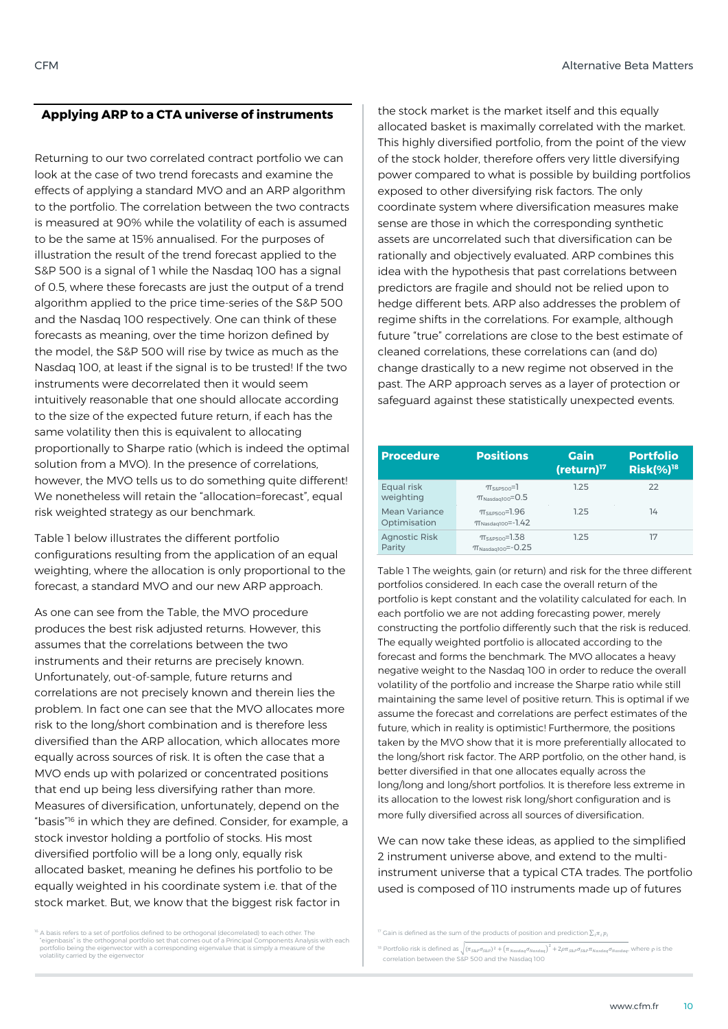### **Applying ARP to a CTA universe of instruments**

Returning to our two correlated contract portfolio we can look at the case of two trend forecasts and examine the effects of applying a standard MVO and an ARP algorithm to the portfolio. The correlation between the two contracts is measured at 90% while the volatility of each is assumed to be the same at 15% annualised. For the purposes of illustration the result of the trend forecast applied to the S&P 500 is a signal of 1 while the Nasdaq 100 has a signal of 0.5, where these forecasts are just the output of a trend algorithm applied to the price time-series of the S&P 500 and the Nasdaq 100 respectively. One can think of these forecasts as meaning, over the time horizon defined by the model, the S&P 500 will rise by twice as much as the Nasdaq 100, at least if the signal is to be trusted! If the two instruments were decorrelated then it would seem intuitively reasonable that one should allocate according to the size of the expected future return, if each has the same volatility then this is equivalent to allocating proportionally to Sharpe ratio (which is indeed the optimal solution from a MVO). In the presence of correlations, however, the MVO tells us to do something quite different! We nonetheless will retain the "allocation=forecast", equal risk weighted strategy as our benchmark.

Table 1 below illustrates the different portfolio configurations resulting from the application of an equal weighting, where the allocation is only proportional to the forecast, a standard MVO and our new ARP approach.

As one can see from the Table, the MVO procedure produces the best risk adjusted returns. However, this assumes that the correlations between the two instruments and their returns are precisely known. Unfortunately, out-of-sample, future returns and correlations are not precisely known and therein lies the problem. In fact one can see that the MVO allocates more risk to the long/short combination and is therefore less diversified than the ARP allocation, which allocates more equally across sources of risk. It is often the case that a MVO ends up with polarized or concentrated positions that end up being less diversifying rather than more. Measures of diversification, unfortunately, depend on the "basis"<sup>16</sup> in which they are defined. Consider, for example, a stock investor holding a portfolio of stocks. His most diversified portfolio will be a long only, equally risk allocated basket, meaning he defines his portfolio to be equally weighted in his coordinate system i.e. that of the stock market. But, we know that the biggest risk factor in

<sup>16</sup> A basis refers to a set of portfolios defined to be orthogonal (decorrelated) to each other. The<br>"eigenbasis" is the orthogonal portfolio set that comes out of a Principal Components Analysis with each portfolio being the eigenvector with a corresponding eigenvalue that is simply a measure of the volatility carried by the eigenvector

the stock market is the market itself and this equally allocated basket is maximally correlated with the market. This highly diversified portfolio, from the point of the view of the stock holder, therefore offers very little diversifying power compared to what is possible by building portfolios exposed to other diversifying risk factors. The only coordinate system where diversification measures make sense are those in which the corresponding synthetic assets are uncorrelated such that diversification can be rationally and objectively evaluated. ARP combines this idea with the hypothesis that past correlations between predictors are fragile and should not be relied upon to hedge different bets. ARP also addresses the problem of regime shifts in the correlations. For example, although future "true" correlations are close to the best estimate of cleaned correlations, these correlations can (and do) change drastically to a new regime not observed in the past. The ARP approach serves as a layer of protection or safeguard against these statistically unexpected events.

| <b>Procedure</b>               | <b>Positions</b>                                              | <b>Gain</b><br>$(return)^{17}$ | <b>Portfolio</b><br>$Risk$ (%) <sup>18</sup> |
|--------------------------------|---------------------------------------------------------------|--------------------------------|----------------------------------------------|
| Equal risk<br>weighting        | $\pi$ <sub>S&amp;P500</sub> =1<br>$T_{Nasdaq100} = 0.5$       | 1.25                           | 22                                           |
| Mean Variance<br>Optimisation  | $\pi_{\text{S}\&\text{P}500}$ =1.96<br>$T_{Nasdaq100}$ =-1.42 | 125                            | 14                                           |
| <b>Agnostic Risk</b><br>Parity | $\pi$ <sub>S&amp;P500</sub> =1.38<br>$T_{Nasdaq100} = -0.25$  | 125                            | 17                                           |

Table 1 The weights, gain (or return) and risk for the three different portfolios considered. In each case the overall return of the portfolio is kept constant and the volatility calculated for each. In each portfolio we are not adding forecasting power, merely constructing the portfolio differently such that the risk is reduced. The equally weighted portfolio is allocated according to the forecast and forms the benchmark. The MVO allocates a heavy negative weight to the Nasdaq 100 in order to reduce the overall volatility of the portfolio and increase the Sharpe ratio while still maintaining the same level of positive return. This is optimal if we assume the forecast and correlations are perfect estimates of the future, which in reality is optimistic! Furthermore, the positions taken by the MVO show that it is more preferentially allocated to the long/short risk factor. The ARP portfolio, on the other hand, is better diversified in that one allocates equally across the long/long and long/short portfolios. It is therefore less extreme in its allocation to the lowest risk long/short configuration and is more fully diversified across all sources of diversification.

We can now take these ideas, as applied to the simplified 2 instrument universe above, and extend to the multiinstrument universe that a typical CTA trades. The portfolio used is composed of 110 instruments made up of futures

 $17$  Gain is defined as the sum of the products of position and prediction  $\Sigma \pi$ ,  $n$ 

<sup>&</sup>lt;sup>18</sup> Portfolio risk is defined as  $\sqrt{(\pi_{S\&P}\sigma_{S\&P})^2 + (\pi_{Nasdag}\sigma_{Nasdag})^2 + 2\rho\pi_{S\&P}\sigma_{S\&P}\pi_{Nasdag}\sigma_{Nasdag}}$ , where  $\rho$  is the correlation between the S&P 500 and the Nasdaq 100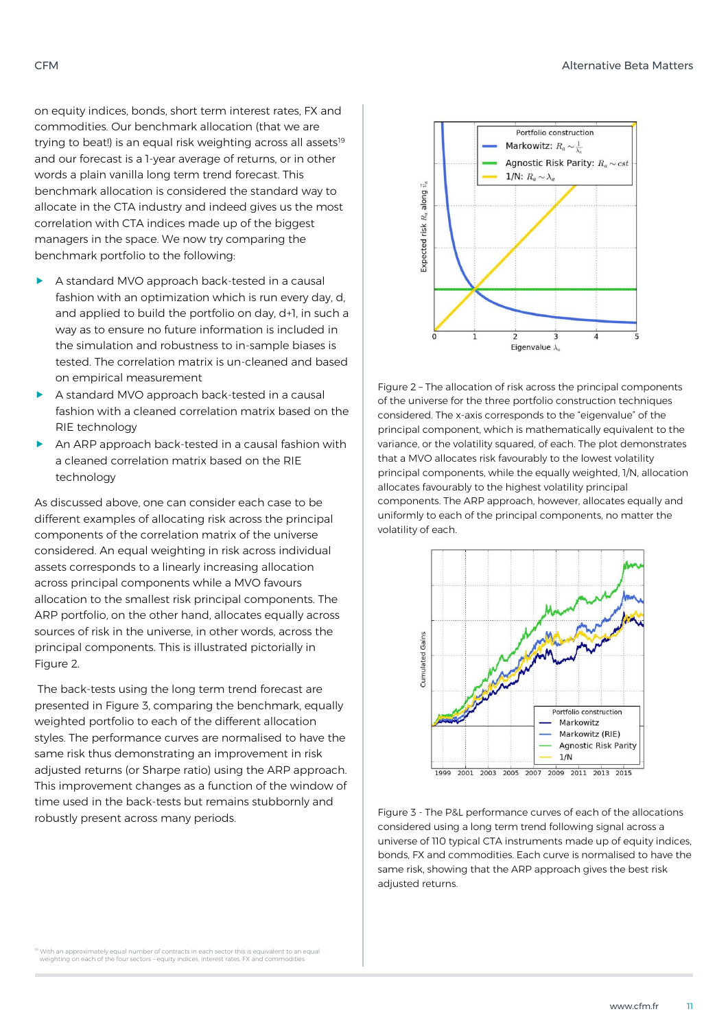on equity indices, bonds, short term interest rates, FX and commodities. Our benchmark allocation (that we are trying to beat!) is an equal risk weighting across all assets<sup>19</sup> and our forecast is a 1-year average of returns, or in other words a plain vanilla long term trend forecast. This benchmark allocation is considered the standard way to allocate in the CTA industry and indeed gives us the most correlation with CTA indices made up of the biggest managers in the space. We now try comparing the benchmark portfolio to the following:

- A standard MVO approach back-tested in a causal fashion with an optimization which is run every day, d, and applied to build the portfolio on day, d+1, in such a way as to ensure no future information is included in the simulation and robustness to in-sample biases is tested. The correlation matrix is un-cleaned and based on empirical measurement
- A standard MVO approach back-tested in a causal fashion with a cleaned correlation matrix based on the RIE technology
- An ARP approach back-tested in a causal fashion with a cleaned correlation matrix based on the RIE technology

As discussed above, one can consider each case to be different examples of allocating risk across the principal components of the correlation matrix of the universe considered. An equal weighting in risk across individual assets corresponds to a linearly increasing allocation across principal components while a MVO favours allocation to the smallest risk principal components. The ARP portfolio, on the other hand, allocates equally across sources of risk in the universe, in other words, across the principal components. This is illustrated pictorially in Figure 2.

The back-tests using the long term trend forecast are presented in Figure 3, comparing the benchmark, equally weighted portfolio to each of the different allocation styles. The performance curves are normalised to have the same risk thus demonstrating an improvement in risk adjusted returns (or Sharpe ratio) using the ARP approach. This improvement changes as a function of the window of time used in the back-tests but remains stubbornly and robustly present across many periods.



Figure 2 – The allocation of risk across the principal components of the universe for the three portfolio construction techniques considered. The x-axis corresponds to the "eigenvalue" of the principal component, which is mathematically equivalent to the variance, or the volatility squared, of each. The plot demonstrates that a MVO allocates risk favourably to the lowest volatility principal components, while the equally weighted, 1/N, allocation allocates favourably to the highest volatility principal components. The ARP approach, however, allocates equally and uniformly to each of the principal components, no matter the volatility of each.



1999 2001 2003 2005 2007 2009 2011 2013 2015

Figure 3 - The P&L performance curves of each of the allocations considered using a long term trend following signal across a universe of 110 typical CTA instruments made up of equity indices. bonds, FX and commodities. Each curve is normalised to have the same risk, showing that the ARP approach gives the best risk adjusted returns.

<sup>19</sup> With an approximately equal number of contracts in each sector this is equivalent to an equal<br>weighting on each of the four sectors - equity indices, interest rates, FX and commodities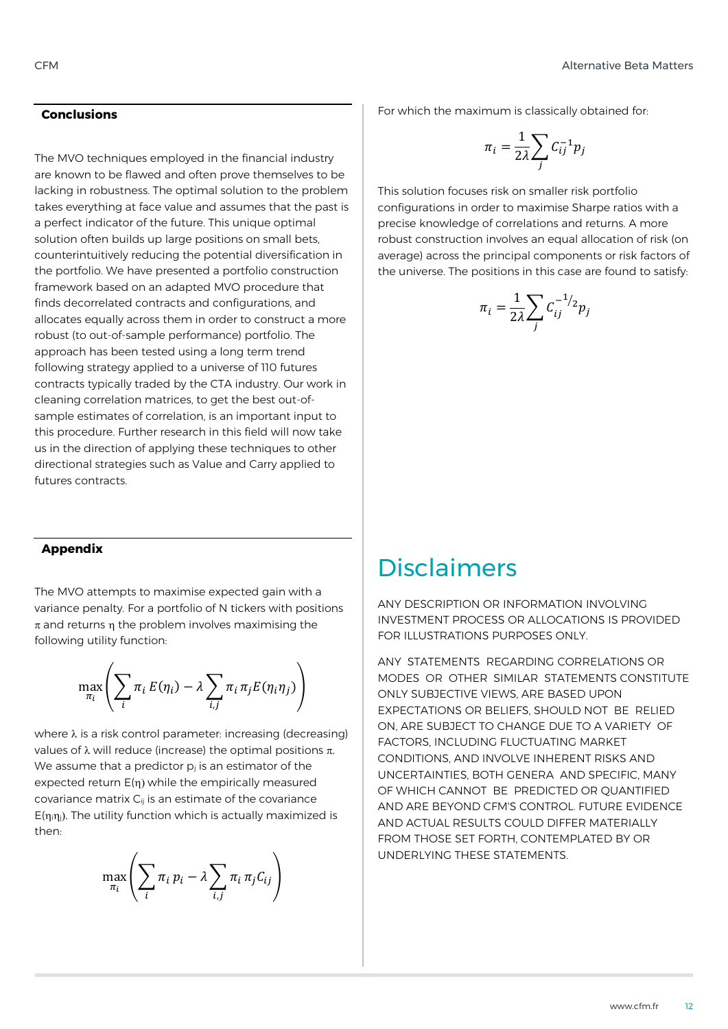### **Conclusions**

The MVO techniques employed in the financial industry are known to be flawed and often prove themselves to be lacking in robustness. The optimal solution to the problem takes everything at face value and assumes that the past is a perfect indicator of the future. This unique optimal solution often builds up large positions on small bets, counterintuitively reducing the potential diversification in the portfolio. We have presented a portfolio construction framework based on an adapted MVO procedure that finds decorrelated contracts and configurations, and allocates equally across them in order to construct a more robust (to out-of-sample performance) portfolio. The approach has been tested using a long term trend following strategy applied to a universe of 110 futures contracts typically traded by the CTA industry. Our work in cleaning correlation matrices, to get the best out-ofsample estimates of correlation, is an important input to this procedure. Further research in this field will now take us in the direction of applying these techniques to other directional strategies such as Value and Carry applied to futures contracts.

For which the maximum is classically obtained for:

$$
\pi_i = \frac{1}{2\lambda} \sum_j C_{ij}^{-1} p_j
$$

This solution focuses risk on smaller risk portfolio configurations in order to maximise Sharpe ratios with a precise knowledge of correlations and returns. A more robust construction involves an equal allocation of risk (on average) across the principal components or risk factors of the universe. The positions in this case are found to satisfy:

$$
\pi_i = \frac{1}{2\lambda} \sum_j C_{ij}^{-1/2} p_j
$$

### **Appendix**

The MVO attempts to maximise expected gain with a variance penalty. For a portfolio of N tickers with positions  $\pi$  and returns n the problem involves maximising the following utility function:

$$
\max_{\pi_i} \left( \sum_i \pi_i E(\eta_i) - \lambda \sum_{i,j} \pi_i \pi_j E(\eta_i \eta_j) \right)
$$

where  $\lambda$  is a risk control parameter: increasing (decreasing) values of  $\lambda$  will reduce (increase) the optimal positions  $\pi$ . We assume that a predictor  $p_i$  is an estimator of the expected return  $E(\eta)$  while the empirically measured covariance matrix  $C_{ii}$  is an estimate of the covariance  $E(\eta_i\eta_i)$ . The utility function which is actually maximized is then:

$$
\max_{\pi_i} \left( \sum_i \pi_i p_i - \lambda \sum_{i,j} \pi_i \pi_j C_{ij} \right)
$$

### Disclaimers

ANY DESCRIPTION OR INFORMATION INVOLVING INVESTMENT PROCESS OR ALLOCATIONS IS PROVIDED FOR ILLUSTRATIONS PURPOSES ONLY.

ANY STATEMENTS REGARDING CORRELATIONS OR MODES OR OTHER SIMILAR STATEMENTS CONSTITUTE ONLY SUBJECTIVE VIEWS, ARE BASED UPON EXPECTATIONS OR BELIEFS, SHOULD NOT BE RELIED ON, ARE SUBJECT TO CHANGE DUE TO A VARIETY OF FACTORS, INCLUDING FLUCTUATING MARKET CONDITIONS, AND INVOLVE INHERENT RISKS AND UNCERTAINTIES, BOTH GENERA AND SPECIFIC, MANY OF WHICH CANNOT BE PREDICTED OR QUANTIFIED AND ARE BEYOND CFM'S CONTROL. FUTURE EVIDENCE AND ACTUAL RESULTS COULD DIFFER MATERIALLY FROM THOSE SET FORTH, CONTEMPLATED BY OR UNDERLYING THESE STATEMENTS.